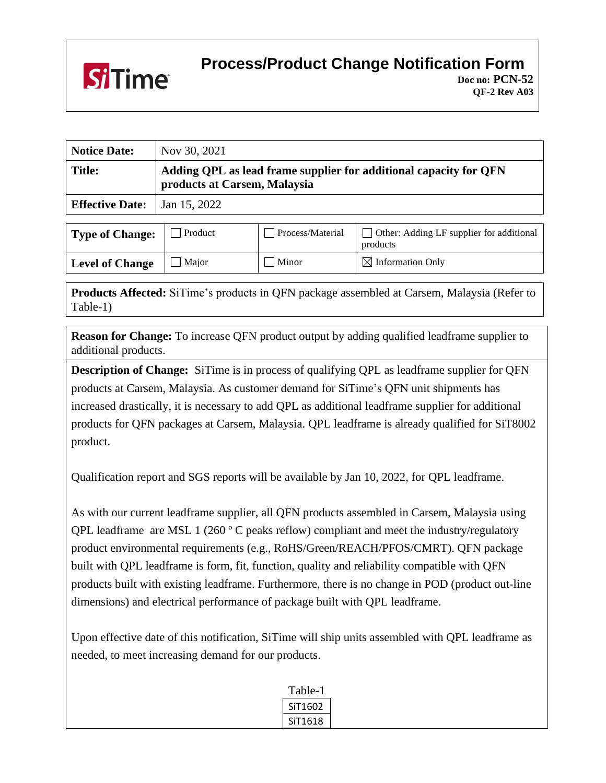

## **Process/Product Change Notification Form**

| <b>Notice Date:</b>    | Nov 30, 2021                                                                                      |
|------------------------|---------------------------------------------------------------------------------------------------|
| <b>Title:</b>          | Adding QPL as lead frame supplier for additional capacity for QFN<br>products at Carsem, Malaysia |
| <b>Effective Date:</b> | Jan 15, 2022                                                                                      |

| <b>Type of Change:</b> | Product | Process/Material | $\Box$ Other: Adding LF supplier for additional<br>products |
|------------------------|---------|------------------|-------------------------------------------------------------|
| <b>Level of Change</b> | Maior   | Minor            | $\boxtimes$ Information Only                                |

**Products Affected:** SiTime's products in QFN package assembled at Carsem, Malaysia (Refer to Table-1)

**Reason for Change:** To increase QFN product output by adding qualified leadframe supplier to additional products.

**Description of Change:** SiTime is in process of qualifying QPL as leadframe supplier for QFN products at Carsem, Malaysia. As customer demand for SiTime's QFN unit shipments has increased drastically, it is necessary to add QPL as additional leadframe supplier for additional products for QFN packages at Carsem, Malaysia. QPL leadframe is already qualified for SiT8002 product.

Qualification report and SGS reports will be available by Jan 10, 2022, for QPL leadframe.

As with our current leadframe supplier, all QFN products assembled in Carsem, Malaysia using QPL leadframe are MSL 1 (260 º C peaks reflow) compliant and meet the industry/regulatory product environmental requirements (e.g., RoHS/Green/REACH/PFOS/CMRT). QFN package built with QPL leadframe is form, fit, function, quality and reliability compatible with QFN products built with existing leadframe. Furthermore, there is no change in POD (product out-line dimensions) and electrical performance of package built with QPL leadframe.

Upon effective date of this notification, SiTime will ship units assembled with QPL leadframe as needed, to meet increasing demand for our products.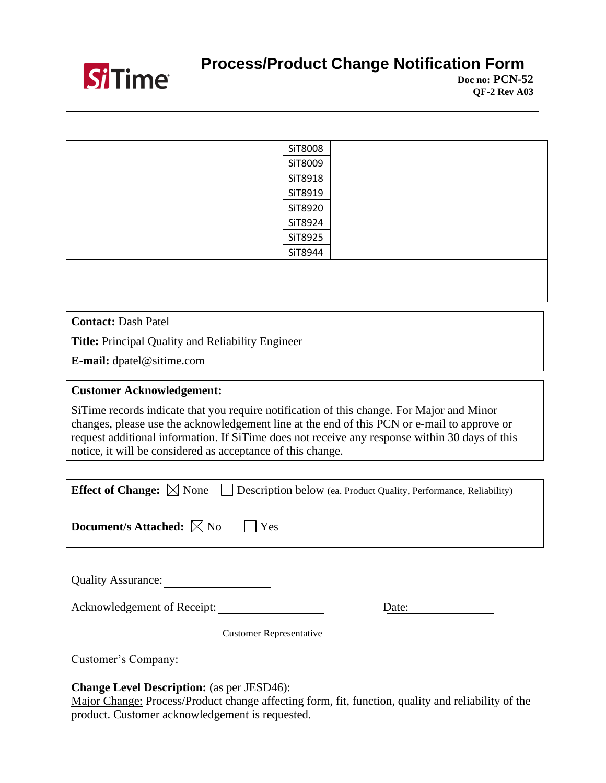

## **Process/Product Change Notification Form**

| SiT8008 |
|---------|
| SiT8009 |
| SiT8918 |
| SiT8919 |
| SiT8920 |
| SiT8924 |
| SiT8925 |
| SiT8944 |
|         |
|         |

**Contact:** Dash Patel

**Title:** Principal Quality and Reliability Engineer

**E-mail:** dpatel@sitime.com

## **Customer Acknowledgement:**

SiTime records indicate that you require notification of this change. For Major and Minor changes, please use the acknowledgement line at the end of this PCN or e-mail to approve or request additional information. If SiTime does not receive any response within 30 days of this notice, it will be considered as acceptance of this change.

| <b>Effect of Change:</b> $\boxtimes$ None<br><b>Description below</b> (ea. Product Quality, Performance, Reliability) |  |  |  |  |
|-----------------------------------------------------------------------------------------------------------------------|--|--|--|--|
|                                                                                                                       |  |  |  |  |
| <b>Document/s Attached:</b> $\boxtimes$ No<br>Yes                                                                     |  |  |  |  |
|                                                                                                                       |  |  |  |  |

Quality Assurance:

Acknowledgement of Receipt: Date: Date:

Customer Representative

Customer's Company:

**Change Level Description:** (as per JESD46):

Major Change: Process/Product change affecting form, fit, function, quality and reliability of the product. Customer acknowledgement is requested.